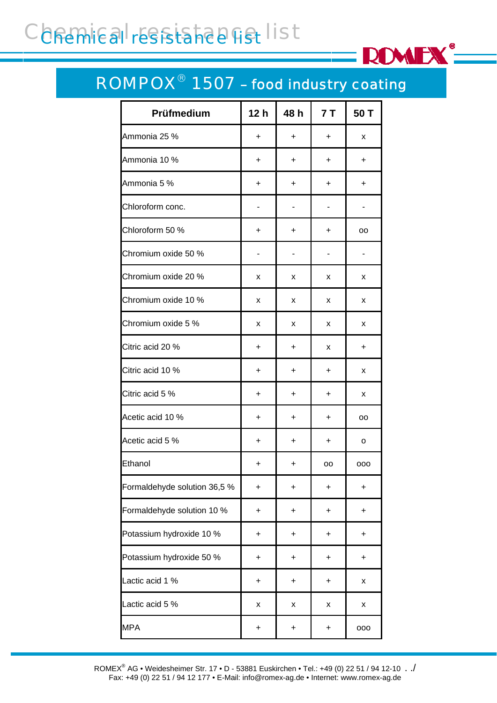# Conemical resistance list

#### ROMPOX® 1507 *– food industry coating*

**ROMEX**<sup>®</sup>

| Prüfmedium                   | 12h       | 48 h      | 7T        | 50 T      |
|------------------------------|-----------|-----------|-----------|-----------|
| Ammonia 25 %                 | +         | $\ddot{}$ | $\ddot{}$ | x         |
| Ammonia 10 %                 | $\ddot{}$ | $\ddot{}$ | +         | $\ddot{}$ |
| Ammonia 5 %                  | +         | +         | +         | +         |
| Chloroform conc.             |           |           |           |           |
| Chloroform 50 %              | +         | $\ddot{}$ | $\ddot{}$ | oo        |
| Chromium oxide 50 %          |           |           |           |           |
| Chromium oxide 20 %          | x         | x         | x         | x         |
| Chromium oxide 10 %          | x         | x         | x         | x         |
| Chromium oxide 5 %           | x         | x         | x         | x         |
| Citric acid 20 %             | $\ddot{}$ | $\ddot{}$ | x         | $\ddot{}$ |
| Citric acid 10 %             | +         | $\ddot{}$ | $\ddot{}$ | x         |
| Citric acid 5 %              | +         | +         | +         | x         |
| Acetic acid 10 %             | +         | $\ddot{}$ | $\ddot{}$ | oo        |
| Acetic acid 5 %              | +         | +         | +         | o         |
| Ethanol                      | +         | +         | oo        | 000       |
| Formaldehyde solution 36,5 % | $\ddot{}$ | $\ddot{}$ | $\ddot{}$ | $\ddot{}$ |
| Formaldehyde solution 10 %   | +         | +         | $\ddot{}$ | +         |
| Potassium hydroxide 10 %     | +         | +         | +         | +         |
| Potassium hydroxide 50 %     | $\ddot{}$ | +         | $\ddot{}$ | $\ddot{}$ |
| Lactic acid 1 %              | +         | +         | $\ddot{}$ | x         |
| Lactic acid 5 %              | X         | X         | X         | X         |
| <b>MPA</b>                   | $\ddot{}$ | $\ddot{}$ | $\ddot{}$ | 000       |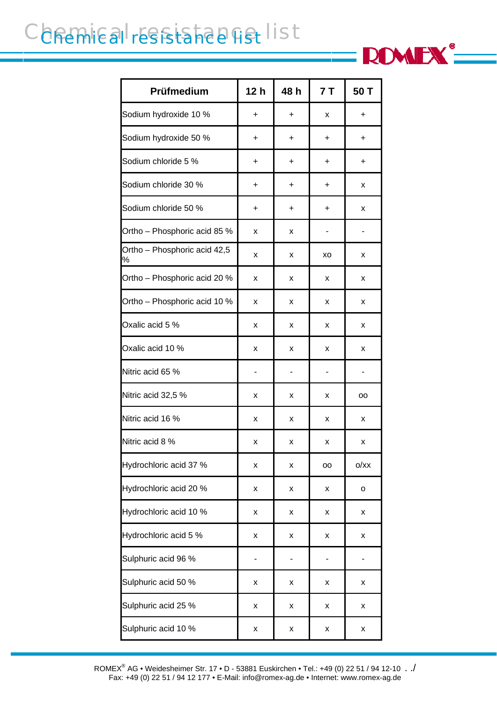## Conemical resistance list

| Prüfmedium                        | 12 <sub>h</sub> | 48 h      | 7T        | 50 T |
|-----------------------------------|-----------------|-----------|-----------|------|
| Sodium hydroxide 10 %             | $\ddot{}$       | +         | x         | +    |
| Sodium hydroxide 50 %             | +               | +         | +         | +    |
| Sodium chloride 5 %               | +               | +         | $\ddot{}$ | +    |
| Sodium chloride 30 %              | $\ddot{}$       | $\ddot{}$ | $\ddot{}$ | x    |
| Sodium chloride 50 %              | +               | +         | +         | x    |
| Ortho - Phosphoric acid 85 %      | x               | x         |           |      |
| Ortho - Phosphoric acid 42,5<br>% | x               | x         | XO        | x    |
| Ortho - Phosphoric acid 20 %      | x               | x         | x         | x    |
| Ortho - Phosphoric acid 10 %      | x               | x         | x         | x    |
| Oxalic acid 5 %                   | x               | x         | x         | x    |
| Oxalic acid 10 %                  | x               | x         | x         | x    |
| Nitric acid 65 %                  |                 |           |           |      |
| Nitric acid 32,5 %                | x               | x         | x         | oo   |
| Nitric acid 16 %                  | x               | x         | x         | x    |
| Nitric acid 8 %                   | х               | х         | x         | x    |
| Hydrochloric acid 37 %            | x               | x         | oo        | O/XX |
| Hydrochloric acid 20 %            | x               | x         | x         | o    |
| Hydrochloric acid 10 %            | x               | x         | x         | X    |
| Hydrochloric acid 5 %             | x               | x         | x         | X    |
| Sulphuric acid 96 %               |                 |           |           |      |
| Sulphuric acid 50 %               | X               | x         | x         | X    |
| Sulphuric acid 25 %               | x               | x         | X         | X    |
| Sulphuric acid 10 %               | x               | x         | x         | X    |

**ROMEX**<sup>®</sup>